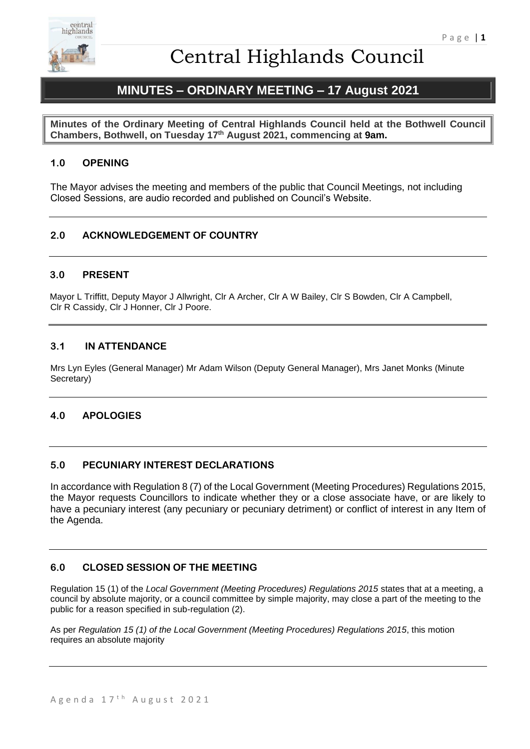

# **MINUTES – ORDINARY MEETING – 17 August 2021**

**Minutes of the Ordinary Meeting of Central Highlands Council held at the Bothwell Council Chambers, Bothwell, on Tuesday 17th August 2021, commencing at 9am.** 

## **1.0 OPENING**

The Mayor advises the meeting and members of the public that Council Meetings, not including Closed Sessions, are audio recorded and published on Council's Website.

## **2.0 ACKNOWLEDGEMENT OF COUNTRY**

## **3.0 PRESENT**

Mayor L Triffitt, Deputy Mayor J Allwright, Clr A Archer, Clr A W Bailey, Clr S Bowden, Clr A Campbell, Clr R Cassidy, Clr J Honner, Clr J Poore.

## **3.1 IN ATTENDANCE**

Mrs Lyn Eyles (General Manager) Mr Adam Wilson (Deputy General Manager), Mrs Janet Monks (Minute Secretary)

## **4.0 APOLOGIES**

## **5.0 PECUNIARY INTEREST DECLARATIONS**

In accordance with Regulation 8 (7) of the Local Government (Meeting Procedures) Regulations 2015, the Mayor requests Councillors to indicate whether they or a close associate have, or are likely to have a pecuniary interest (any pecuniary or pecuniary detriment) or conflict of interest in any Item of the Agenda.

## **6.0 CLOSED SESSION OF THE MEETING**

Regulation 15 (1) of the *Local Government (Meeting Procedures) Regulations 2015* states that at a meeting, a council by absolute majority, or a council committee by simple majority, may close a part of the meeting to the public for a reason specified in sub-regulation (2).

As per *Regulation 15 (1) of the Local Government (Meeting Procedures) Regulations 2015*, this motion requires an absolute majority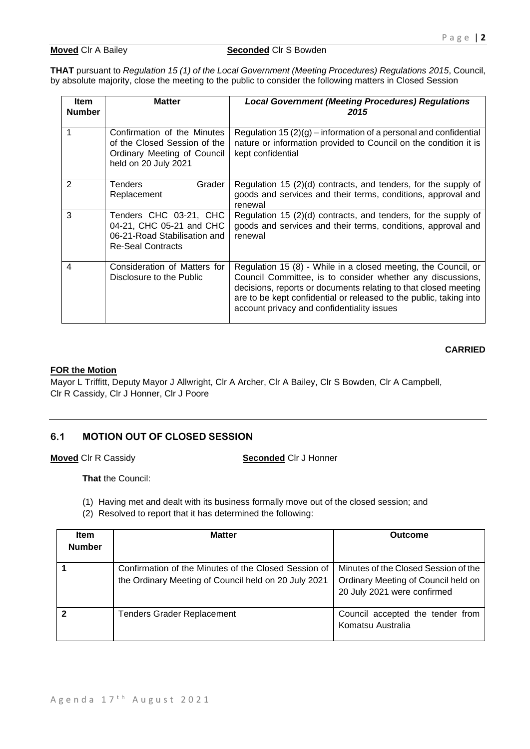#### **Moved** Clr A Bailey **Seconded** Clr S Bowden

**THAT** pursuant to *Regulation 15 (1) of the Local Government (Meeting Procedures) Regulations 2015*, Council, by absolute majority, close the meeting to the public to consider the following matters in Closed Session

| <b>Item</b><br><b>Number</b> | <b>Matter</b>                                                                                                      | <b>Local Government (Meeting Procedures) Regulations</b><br>2015                                                                                                                                                                                                                                                    |
|------------------------------|--------------------------------------------------------------------------------------------------------------------|---------------------------------------------------------------------------------------------------------------------------------------------------------------------------------------------------------------------------------------------------------------------------------------------------------------------|
|                              | Confirmation of the Minutes<br>of the Closed Session of the<br>Ordinary Meeting of Council<br>held on 20 July 2021 | Regulation 15 $(2)(g)$ – information of a personal and confidential<br>nature or information provided to Council on the condition it is<br>kept confidential                                                                                                                                                        |
| $\mathcal{P}$                | Grader<br>Tenders<br>Replacement                                                                                   | Regulation 15 (2)(d) contracts, and tenders, for the supply of<br>goods and services and their terms, conditions, approval and<br>renewal                                                                                                                                                                           |
| 3                            | Tenders CHC 03-21, CHC<br>04-21, CHC 05-21 and CHC<br>06-21-Road Stabilisation and<br><b>Re-Seal Contracts</b>     | Regulation 15 (2)(d) contracts, and tenders, for the supply of<br>goods and services and their terms, conditions, approval and<br>renewal                                                                                                                                                                           |
| 4                            | Consideration of Matters for<br>Disclosure to the Public                                                           | Regulation 15 (8) - While in a closed meeting, the Council, or<br>Council Committee, is to consider whether any discussions,<br>decisions, reports or documents relating to that closed meeting<br>are to be kept confidential or released to the public, taking into<br>account privacy and confidentiality issues |

### **CARRIED**

#### **FOR the Motion**

Mayor L Triffitt, Deputy Mayor J Allwright, Clr A Archer, Clr A Bailey, Clr S Bowden, Clr A Campbell, Clr R Cassidy, Clr J Honner, Clr J Poore

## **6.1 MOTION OUT OF CLOSED SESSION**

**Moved** Clr R Cassidy **Seconded** Clr J Honner

**That** the Council:

- (1) Having met and dealt with its business formally move out of the closed session; and
- (2) Resolved to report that it has determined the following:

| <b>Item</b><br><b>Number</b> | <b>Matter</b>                                                                                                | Outcome                                                                                                    |
|------------------------------|--------------------------------------------------------------------------------------------------------------|------------------------------------------------------------------------------------------------------------|
|                              | Confirmation of the Minutes of the Closed Session of<br>the Ordinary Meeting of Council held on 20 July 2021 | Minutes of the Closed Session of the<br>Ordinary Meeting of Council held on<br>20 July 2021 were confirmed |
|                              | <b>Tenders Grader Replacement</b>                                                                            | Council accepted the tender from<br>Komatsu Australia                                                      |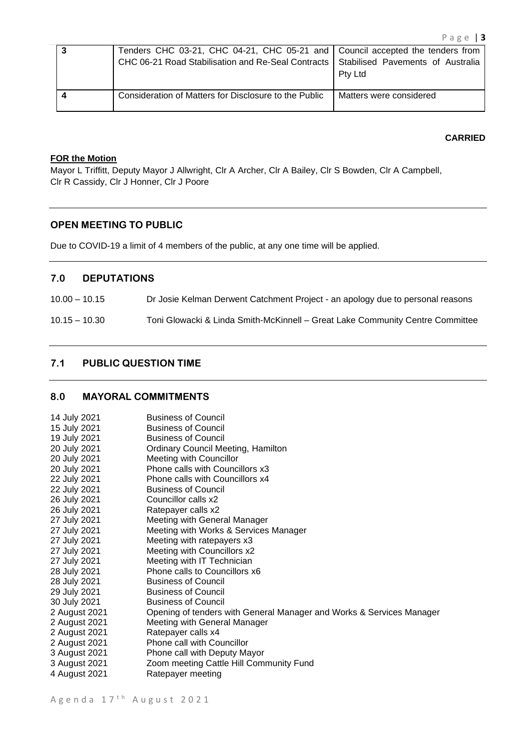| Tenders CHC 03-21, CHC 04-21, CHC 05-21 and Council accepted the tenders from<br>CHC 06-21 Road Stabilisation and Re-Seal Contracts Stabilised Pavements of Australia | <b>Ptv Ltd</b>          |
|-----------------------------------------------------------------------------------------------------------------------------------------------------------------------|-------------------------|
| Consideration of Matters for Disclosure to the Public                                                                                                                 | Matters were considered |

#### **CARRIED**

#### **FOR the Motion**

Mayor L Triffitt, Deputy Mayor J Allwright, Clr A Archer, Clr A Bailey, Clr S Bowden, Clr A Campbell, Clr R Cassidy, Clr J Honner, Clr J Poore

#### **OPEN MEETING TO PUBLIC**

Due to COVID-19 a limit of 4 members of the public, at any one time will be applied.

## **7.0 DEPUTATIONS**

10.00 – 10.15 Dr Josie Kelman Derwent Catchment Project - an apology due to personal reasons

## 10.15 – 10.30 Toni Glowacki & Linda Smith-McKinnell – Great Lake Community Centre Committee

## **7.1 PUBLIC QUESTION TIME**

## **8.0 MAYORAL COMMITMENTS**

| 14 July 2021  | <b>Business of Council</b>                                           |
|---------------|----------------------------------------------------------------------|
| 15 July 2021  | <b>Business of Council</b>                                           |
| 19 July 2021  | <b>Business of Council</b>                                           |
| 20 July 2021  | <b>Ordinary Council Meeting, Hamilton</b>                            |
| 20 July 2021  | Meeting with Councillor                                              |
| 20 July 2021  | Phone calls with Councillors x3                                      |
| 22 July 2021  | Phone calls with Councillors x4                                      |
| 22 July 2021  | <b>Business of Council</b>                                           |
| 26 July 2021  | Councillor calls x2                                                  |
| 26 July 2021  | Ratepayer calls x2                                                   |
| 27 July 2021  | Meeting with General Manager                                         |
| 27 July 2021  | Meeting with Works & Services Manager                                |
| 27 July 2021  | Meeting with ratepayers x3                                           |
| 27 July 2021  | Meeting with Councillors x2                                          |
| 27 July 2021  | Meeting with IT Technician                                           |
| 28 July 2021  | Phone calls to Councillors x6                                        |
| 28 July 2021  | <b>Business of Council</b>                                           |
| 29 July 2021  | <b>Business of Council</b>                                           |
| 30 July 2021  | <b>Business of Council</b>                                           |
| 2 August 2021 | Opening of tenders with General Manager and Works & Services Manager |
| 2 August 2021 | Meeting with General Manager                                         |
| 2 August 2021 | Ratepayer calls x4                                                   |
| 2 August 2021 | Phone call with Councillor                                           |
| 3 August 2021 | Phone call with Deputy Mayor                                         |
| 3 August 2021 | Zoom meeting Cattle Hill Community Fund                              |
| 4 August 2021 | Ratepayer meeting                                                    |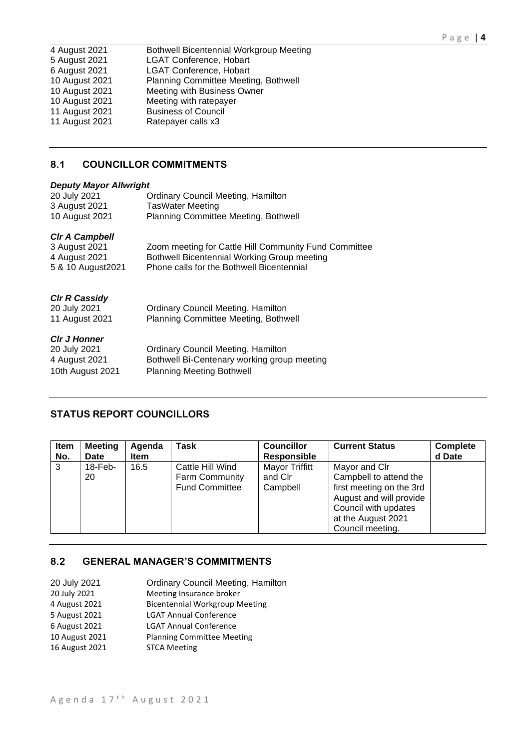| 4 August 2021  | Bothwell Bicentennial Workgroup Meeting |
|----------------|-----------------------------------------|
| 5 August 2021  | <b>LGAT Conference, Hobart</b>          |
| 6 August 2021  | <b>LGAT Conference, Hobart</b>          |
| 10 August 2021 | Planning Committee Meeting, Bothwell    |
| 10 August 2021 | Meeting with Business Owner             |
| 10 August 2021 | Meeting with ratepayer                  |
| 11 August 2021 | <b>Business of Council</b>              |
| 11 August 2021 | Ratepayer calls x3                      |
|                |                                         |

## **8.1 COUNCILLOR COMMITMENTS**

### *Deputy Mayor Allwright*

| 20 July 2021          | <b>Ordinary Council Meeting, Hamilton</b>             |
|-----------------------|-------------------------------------------------------|
| 3 August 2021         | <b>TasWater Meeting</b>                               |
| 10 August 2021        | Planning Committee Meeting, Bothwell                  |
| <b>CIr A Campbell</b> |                                                       |
| 3 August 2021         | Zoom meeting for Cattle Hill Community Fund Committee |
| 4 August 2021         | Bothwell Bicentennial Working Group meeting           |
| 5 & 10 August 2021    | Phone calls for the Bothwell Bicentennial             |
|                       |                                                       |
| <b>CIr R Cassidy</b>  |                                                       |
| 20 July 2021          | <b>Ordinary Council Meeting, Hamilton</b>             |
| 11 August 2021        | Planning Committee Meeting, Bothwell                  |
|                       |                                                       |
| <b>CIr J Honner</b>   |                                                       |
| 20 July 2021          | <b>Ordinary Council Meeting, Hamilton</b>             |
| 4 August 2021         | Bothwell Bi-Centenary working group meeting           |
| 10th August 2021      | <b>Planning Meeting Bothwell</b>                      |
|                       |                                                       |

## **STATUS REPORT COUNCILLORS**

| Item<br>No. | <b>Meeting</b><br>Date | Agenda<br><b>Item</b> | Task                                                               | <b>Councillor</b><br><b>Responsible</b>      | <b>Current Status</b>                                                                                                                                            | <b>Complete</b><br>d Date |
|-------------|------------------------|-----------------------|--------------------------------------------------------------------|----------------------------------------------|------------------------------------------------------------------------------------------------------------------------------------------------------------------|---------------------------|
| 3           | $18$ -Feb-<br>20       | 16.5                  | Cattle Hill Wind<br><b>Farm Community</b><br><b>Fund Committee</b> | <b>Mayor Triffitt</b><br>and Clr<br>Campbell | Mayor and Clr<br>Campbell to attend the<br>first meeting on the 3rd<br>August and will provide<br>Council with updates<br>at the August 2021<br>Council meeting. |                           |

## **8.2 GENERAL MANAGER'S COMMITMENTS**

| 20 July 2021   | <b>Ordinary Council Meeting, Hamilton</b> |
|----------------|-------------------------------------------|
| 20 July 2021   | Meeting Insurance broker                  |
| 4 August 2021  | <b>Bicentennial Workgroup Meeting</b>     |
| 5 August 2021  | <b>LGAT Annual Conference</b>             |
| 6 August 2021  | <b>LGAT Annual Conference</b>             |
| 10 August 2021 | <b>Planning Committee Meeting</b>         |
| 16 August 2021 | <b>STCA Meeting</b>                       |
|                |                                           |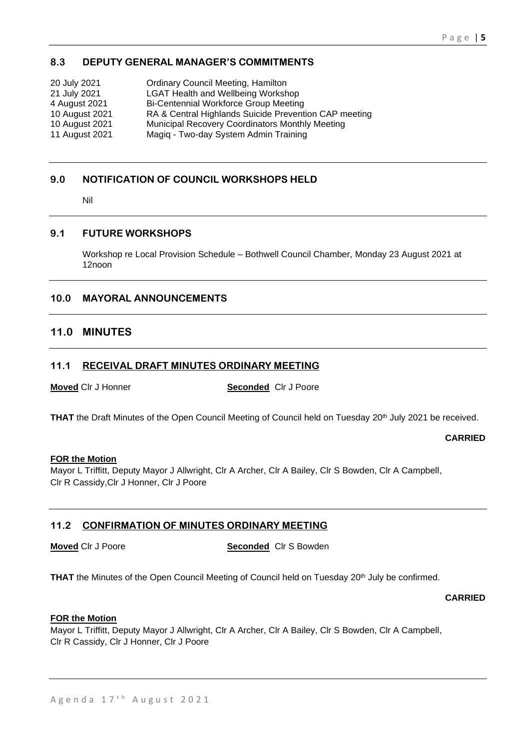## **8.3 DEPUTY GENERAL MANAGER'S COMMITMENTS**

| 20 July 2021   | <b>Ordinary Council Meeting, Hamilton</b>              |
|----------------|--------------------------------------------------------|
| 21 July 2021   | <b>LGAT Health and Wellbeing Workshop</b>              |
| 4 August 2021  | <b>Bi-Centennial Workforce Group Meeting</b>           |
| 10 August 2021 | RA & Central Highlands Suicide Prevention CAP meeting  |
| 10 August 2021 | <b>Municipal Recovery Coordinators Monthly Meeting</b> |
| 11 August 2021 | Magiq - Two-day System Admin Training                  |

## **9.0 NOTIFICATION OF COUNCIL WORKSHOPS HELD**

Nil

## **9.1 FUTURE WORKSHOPS**

Workshop re Local Provision Schedule – Bothwell Council Chamber, Monday 23 August 2021 at 12noon

## **10.0 MAYORAL ANNOUNCEMENTS**

## **11.0 MINUTES**

## **11.1 RECEIVAL DRAFT MINUTES ORDINARY MEETING**

**Moved** Clr J Honner **Seconded** Clr J Poore

THAT the Draft Minutes of the Open Council Meeting of Council held on Tuesday 20<sup>th</sup> July 2021 be received.

**CARRIED**

### **FOR the Motion**

Mayor L Triffitt, Deputy Mayor J Allwright, Clr A Archer, Clr A Bailey, Clr S Bowden, Clr A Campbell, Clr R Cassidy,Clr J Honner, Clr J Poore

## **11.2 CONFIRMATION OF MINUTES ORDINARY MEETING**

**Moved** Clr J Poore **Seconded** Clr S Bowden

THAT the Minutes of the Open Council Meeting of Council held on Tuesday 20<sup>th</sup> July be confirmed.

**CARRIED**

#### **FOR the Motion**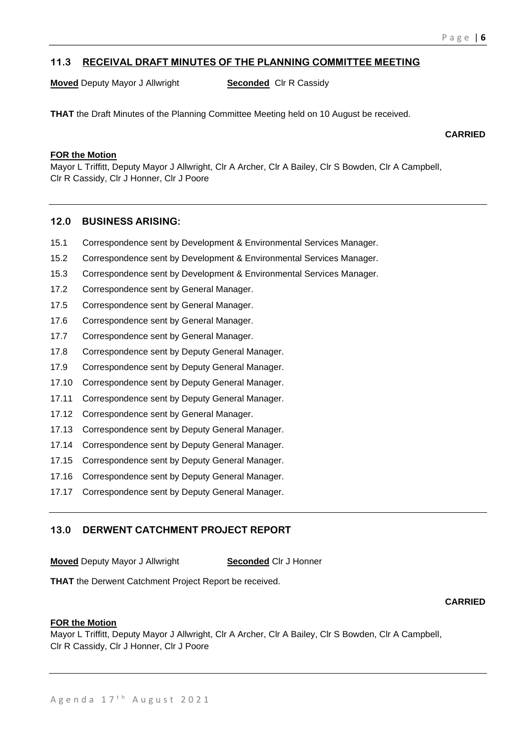## **11.3 RECEIVAL DRAFT MINUTES OF THE PLANNING COMMITTEE MEETING**

**Moved** Deputy Mayor J Allwright **Seconded** Clr R Cassidy

**THAT** the Draft Minutes of the Planning Committee Meeting held on 10 August be received.

**CARRIED**

## **FOR the Motion**

Mayor L Triffitt, Deputy Mayor J Allwright, Clr A Archer, Clr A Bailey, Clr S Bowden, Clr A Campbell, Clr R Cassidy, Clr J Honner, Clr J Poore

### **12.0 BUSINESS ARISING:**

- 15.1 Correspondence sent by Development & Environmental Services Manager.
- 15.2 Correspondence sent by Development & Environmental Services Manager.
- 15.3 Correspondence sent by Development & Environmental Services Manager.
- 17.2 Correspondence sent by General Manager.
- 17.5 Correspondence sent by General Manager.
- 17.6 Correspondence sent by General Manager.
- 17.7 Correspondence sent by General Manager.
- 17.8 Correspondence sent by Deputy General Manager.
- 17.9 Correspondence sent by Deputy General Manager.
- 17.10 Correspondence sent by Deputy General Manager.
- 17.11 Correspondence sent by Deputy General Manager.
- 17.12 Correspondence sent by General Manager.
- 17.13 Correspondence sent by Deputy General Manager.
- 17.14 Correspondence sent by Deputy General Manager.
- 17.15 Correspondence sent by Deputy General Manager.
- 17.16 Correspondence sent by Deputy General Manager.
- 17.17 Correspondence sent by Deputy General Manager.

## **13.0 DERWENT CATCHMENT PROJECT REPORT**

**Moved** Deputy Mayor J Allwright **Seconded** Clr J Honner

**THAT** the Derwent Catchment Project Report be received.

#### **CARRIED**

#### **FOR the Motion**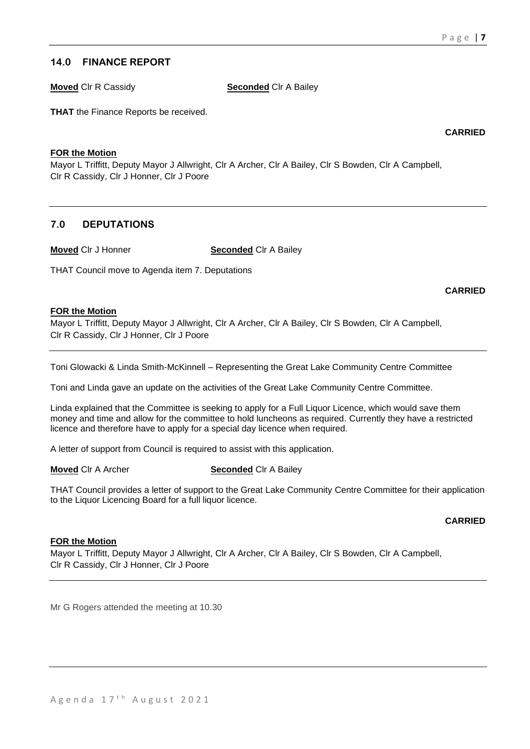## **14.0 FINANCE REPORT**

**Moved** Clr R Cassidy **Seconded** Clr A Bailey

**THAT** the Finance Reports be received.

**CARRIED**

### **FOR the Motion**

Mayor L Triffitt, Deputy Mayor J Allwright, Clr A Archer, Clr A Bailey, Clr S Bowden, Clr A Campbell, Clr R Cassidy, Clr J Honner, Clr J Poore

## **7.0 DEPUTATIONS**

**Moved** Clr J Honner **Seconded** Clr A Bailey

THAT Council move to Agenda item 7. Deputations

**CARRIED**

### **FOR the Motion**

Mayor L Triffitt, Deputy Mayor J Allwright, Clr A Archer, Clr A Bailey, Clr S Bowden, Clr A Campbell, Clr R Cassidy, Clr J Honner, Clr J Poore

Toni Glowacki & Linda Smith-McKinnell – Representing the Great Lake Community Centre Committee

Toni and Linda gave an update on the activities of the Great Lake Community Centre Committee.

Linda explained that the Committee is seeking to apply for a Full Liquor Licence, which would save them money and time and allow for the committee to hold luncheons as required. Currently they have a restricted licence and therefore have to apply for a special day licence when required.

A letter of support from Council is required to assist with this application.

**Moved** Clr A Archer **Seconded** Clr A Bailey

THAT Council provides a letter of support to the Great Lake Community Centre Committee for their application to the Liquor Licencing Board for a full liquor licence.

### **CARRIED**

### **FOR the Motion**

Mayor L Triffitt, Deputy Mayor J Allwright, Clr A Archer, Clr A Bailey, Clr S Bowden, Clr A Campbell, Clr R Cassidy, Clr J Honner, Clr J Poore

Mr G Rogers attended the meeting at 10.30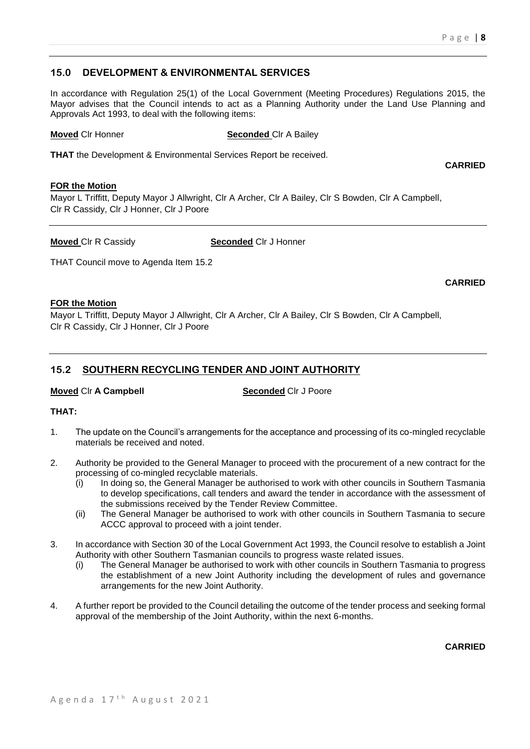## **15.0 DEVELOPMENT & ENVIRONMENTAL SERVICES**

In accordance with Regulation 25(1) of the Local Government (Meeting Procedures) Regulations 2015, the Mayor advises that the Council intends to act as a Planning Authority under the Land Use Planning and Approvals Act 1993, to deal with the following items:

#### **Moved** CIr Honner **Seconded** CIr A Bailey

**THAT** the Development & Environmental Services Report be received.

#### **FOR the Motion**

Mayor L Triffitt, Deputy Mayor J Allwright, Clr A Archer, Clr A Bailey, Clr S Bowden, Clr A Campbell, Clr R Cassidy, Clr J Honner, Clr J Poore

**Moved** Clr R Cassidy **Seconded** Clr J Honner

THAT Council move to Agenda Item 15.2

**CARRIED**

**CARRIED**

#### **FOR the Motion**

Mayor L Triffitt, Deputy Mayor J Allwright, Clr A Archer, Clr A Bailey, Clr S Bowden, Clr A Campbell, Clr R Cassidy, Clr J Honner, Clr J Poore

## **15.2 SOUTHERN RECYCLING TENDER AND JOINT AUTHORITY**

### **Moved** Clr **A Campbell Seconded** Clr J Poore

### **THAT:**

- 1. The update on the Council's arrangements for the acceptance and processing of its co-mingled recyclable materials be received and noted.
- 2. Authority be provided to the General Manager to proceed with the procurement of a new contract for the processing of co-mingled recyclable materials.
	- (i) In doing so, the General Manager be authorised to work with other councils in Southern Tasmania to develop specifications, call tenders and award the tender in accordance with the assessment of the submissions received by the Tender Review Committee.
	- (ii) The General Manager be authorised to work with other councils in Southern Tasmania to secure ACCC approval to proceed with a joint tender.
- 3. In accordance with Section 30 of the Local Government Act 1993, the Council resolve to establish a Joint Authority with other Southern Tasmanian councils to progress waste related issues.
	- (i) The General Manager be authorised to work with other councils in Southern Tasmania to progress the establishment of a new Joint Authority including the development of rules and governance arrangements for the new Joint Authority.
- 4. A further report be provided to the Council detailing the outcome of the tender process and seeking formal approval of the membership of the Joint Authority, within the next 6-months.

**CARRIED**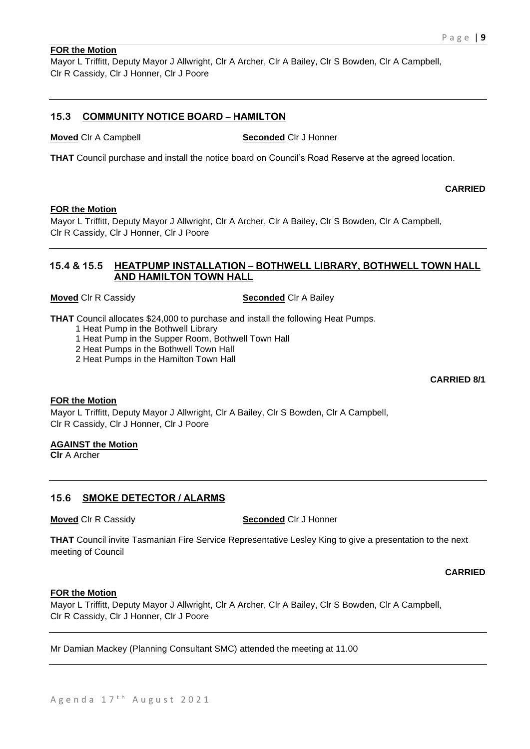#### **FOR the Motion**

Mayor L Triffitt, Deputy Mayor J Allwright, Clr A Archer, Clr A Bailey, Clr S Bowden, Clr A Campbell, Clr R Cassidy, Clr J Honner, Clr J Poore

## **15.3 COMMUNITY NOTICE BOARD – HAMILTON**

**Moved** Clr A Campbell **Seconded** Clr J Honner

**THAT** Council purchase and install the notice board on Council's Road Reserve at the agreed location.

**CARRIED**

#### **FOR the Motion**

Mayor L Triffitt, Deputy Mayor J Allwright, Clr A Archer, Clr A Bailey, Clr S Bowden, Clr A Campbell, Clr R Cassidy, Clr J Honner, Clr J Poore

## **15.4 & 15.5 HEATPUMP INSTALLATION – BOTHWELL LIBRARY, BOTHWELL TOWN HALL AND HAMILTON TOWN HALL**

**Moved** Clr R Cassidy **Seconded** Clr A Bailey

**THAT** Council allocates \$24,000 to purchase and install the following Heat Pumps.

- 1 Heat Pump in the Bothwell Library
- 1 Heat Pump in the Supper Room, Bothwell Town Hall
- 2 Heat Pumps in the Bothwell Town Hall
- 2 Heat Pumps in the Hamilton Town Hall

**CARRIED 8/1**

#### **FOR the Motion**

Mayor L Triffitt, Deputy Mayor J Allwright, Clr A Bailey, Clr S Bowden, Clr A Campbell, Clr R Cassidy, Clr J Honner, Clr J Poore

### **AGAINST the Motion**

**Clr** A Archer

### **15.6 SMOKE DETECTOR / ALARMS**

**Moved** Clr R Cassidy **Seconded** Clr J Honner

**THAT** Council invite Tasmanian Fire Service Representative Lesley King to give a presentation to the next meeting of Council

**CARRIED**

#### **FOR the Motion**

Mayor L Triffitt, Deputy Mayor J Allwright, Clr A Archer, Clr A Bailey, Clr S Bowden, Clr A Campbell, Clr R Cassidy, Clr J Honner, Clr J Poore

Mr Damian Mackey (Planning Consultant SMC) attended the meeting at 11.00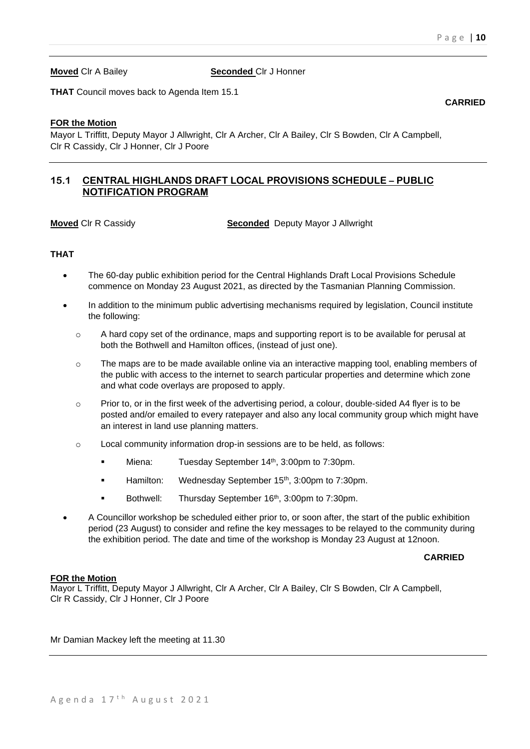**Moved** Clr A Bailey **Seconded** Clr J Honner

**THAT** Council moves back to Agenda Item 15.1

### **FOR the Motion**

Mayor L Triffitt, Deputy Mayor J Allwright, Clr A Archer, Clr A Bailey, Clr S Bowden, Clr A Campbell, Clr R Cassidy, Clr J Honner, Clr J Poore

## **15.1 CENTRAL HIGHLANDS DRAFT LOCAL PROVISIONS SCHEDULE – PUBLIC NOTIFICATION PROGRAM**

**Moved** Clr R Cassidy **Seconded** Deputy Mayor J Allwright

### **THAT**

- The 60-day public exhibition period for the Central Highlands Draft Local Provisions Schedule commence on Monday 23 August 2021, as directed by the Tasmanian Planning Commission.
- In addition to the minimum public advertising mechanisms required by legislation, Council institute the following:
	- $\circ$  A hard copy set of the ordinance, maps and supporting report is to be available for perusal at both the Bothwell and Hamilton offices, (instead of just one).
	- o The maps are to be made available online via an interactive mapping tool, enabling members of the public with access to the internet to search particular properties and determine which zone and what code overlays are proposed to apply.
	- $\circ$  Prior to, or in the first week of the advertising period, a colour, double-sided A4 flyer is to be posted and/or emailed to every ratepayer and also any local community group which might have an interest in land use planning matters.
	- o Local community information drop-in sessions are to be held, as follows:
		- Miena: Tuesday September 14<sup>th</sup>, 3:00pm to 7:30pm.
		- Hamilton: Wednesday September 15<sup>th</sup>, 3:00pm to 7:30pm.
		- Bothwell: Thursday September 16<sup>th</sup>, 3:00pm to 7:30pm.
- A Councillor workshop be scheduled either prior to, or soon after, the start of the public exhibition period (23 August) to consider and refine the key messages to be relayed to the community during the exhibition period. The date and time of the workshop is Monday 23 August at 12noon.

#### **CARRIED**

#### **FOR the Motion**

Mayor L Triffitt, Deputy Mayor J Allwright, Clr A Archer, Clr A Bailey, Clr S Bowden, Clr A Campbell, Clr R Cassidy, Clr J Honner, Clr J Poore

Mr Damian Mackey left the meeting at 11.30

#### **CARRIED**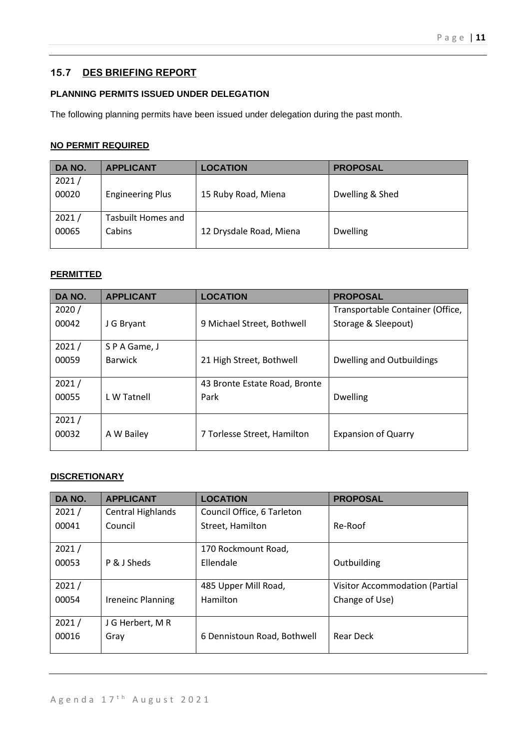## **15.7 DES BRIEFING REPORT**

## **PLANNING PERMITS ISSUED UNDER DELEGATION**

The following planning permits have been issued under delegation during the past month.

## **NO PERMIT REQUIRED**

| DA NO. | <b>APPLICANT</b>        | <b>LOCATION</b>         | <b>PROPOSAL</b> |
|--------|-------------------------|-------------------------|-----------------|
| 2021/  |                         |                         |                 |
| 00020  | <b>Engineering Plus</b> | 15 Ruby Road, Miena     | Dwelling & Shed |
|        |                         |                         |                 |
| 2021/  | Tasbuilt Homes and      |                         |                 |
| 00065  | Cabins                  | 12 Drysdale Road, Miena | <b>Dwelling</b> |
|        |                         |                         |                 |

#### **PERMITTED**

| DA NO. | <b>APPLICANT</b> | <b>LOCATION</b>               | <b>PROPOSAL</b>                  |
|--------|------------------|-------------------------------|----------------------------------|
| 2020/  |                  |                               | Transportable Container (Office, |
| 00042  | J G Bryant       | 9 Michael Street, Bothwell    | Storage & Sleepout)              |
|        |                  |                               |                                  |
| 2021/  | S P A Game, J    |                               |                                  |
| 00059  | <b>Barwick</b>   | 21 High Street, Bothwell      | Dwelling and Outbuildings        |
|        |                  |                               |                                  |
| 2021/  |                  | 43 Bronte Estate Road, Bronte |                                  |
| 00055  | L W Tatnell      | Park                          | <b>Dwelling</b>                  |
|        |                  |                               |                                  |
| 2021/  |                  |                               |                                  |
| 00032  | A W Bailey       | 7 Torlesse Street, Hamilton   | <b>Expansion of Quarry</b>       |
|        |                  |                               |                                  |

## **DISCRETIONARY**

| DA NO. | <b>APPLICANT</b>  | <b>LOCATION</b>             | <b>PROPOSAL</b>                |
|--------|-------------------|-----------------------------|--------------------------------|
| 2021/  | Central Highlands | Council Office, 6 Tarleton  |                                |
| 00041  | Council           | Street, Hamilton            | Re-Roof                        |
|        |                   |                             |                                |
| 2021/  |                   | 170 Rockmount Road,         |                                |
| 00053  | P & J Sheds       | Ellendale                   | Outbuilding                    |
|        |                   |                             |                                |
| 2021/  |                   | 485 Upper Mill Road,        | Visitor Accommodation (Partial |
| 00054  | Ireneinc Planning | Hamilton                    | Change of Use)                 |
|        |                   |                             |                                |
| 2021/  | J G Herbert, M R  |                             |                                |
| 00016  | Gray              | 6 Dennistoun Road, Bothwell | Rear Deck                      |
|        |                   |                             |                                |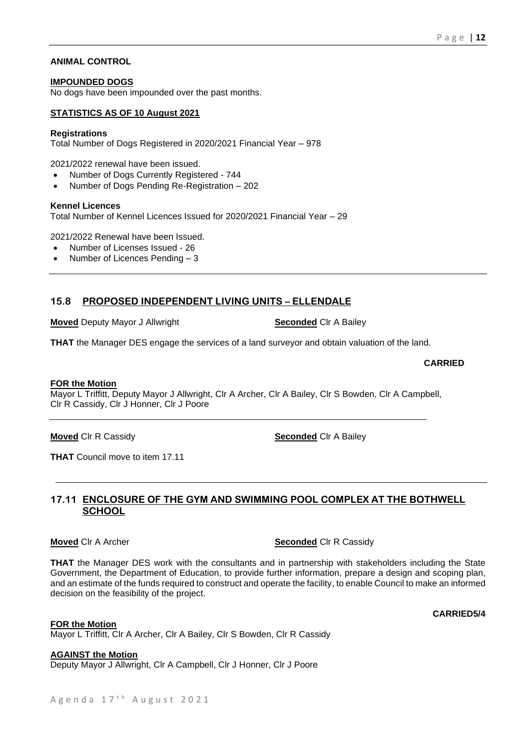#### **ANIMAL CONTROL**

#### **IMPOUNDED DOGS**

No dogs have been impounded over the past months.

## **STATISTICS AS OF 10 August 2021**

#### **Registrations**

Total Number of Dogs Registered in 2020/2021 Financial Year – 978

2021/2022 renewal have been issued.

- Number of Dogs Currently Registered 744
- Number of Dogs Pending Re-Registration 202

#### **Kennel Licences**

Total Number of Kennel Licences Issued for 2020/2021 Financial Year – 29

2021/2022 Renewal have been Issued.

- Number of Licenses Issued 26
- Number of Licences Pending 3

## **15.8 PROPOSED INDEPENDENT LIVING UNITS – ELLENDALE**

**Moved** Deputy Mayor J Allwright **Seconded** Clr A Bailey

**THAT** the Manager DES engage the services of a land surveyor and obtain valuation of the land.

#### **FOR the Motion**

Mayor L Triffitt, Deputy Mayor J Allwright, Clr A Archer, Clr A Bailey, Clr S Bowden, Clr A Campbell, Clr R Cassidy, Clr J Honner, Clr J Poore

**Moved** Clr R Cassidy **Seconded** Clr A Bailey

**THAT** Council move to item 17.11

## **17.11 ENCLOSURE OF THE GYM AND SWIMMING POOL COMPLEX AT THE BOTHWELL SCHOOL**

**THAT** the Manager DES work with the consultants and in partnership with stakeholders including the State Government, the Department of Education, to provide further information, prepare a design and scoping plan, and an estimate of the funds required to construct and operate the facility, to enable Council to make an informed decision on the feasibility of the project.

**FOR the Motion**

Mayor L Triffitt, Clr A Archer, Clr A Bailey, Clr S Bowden, Clr R Cassidy

**AGAINST the Motion**

Deputy Mayor J Allwright, Clr A Campbell, Clr J Honner, Clr J Poore

#### **CARRIED**

**CARRIED5/4**

**Moved** Clr A Archer **Seconded** Clr R Cassidy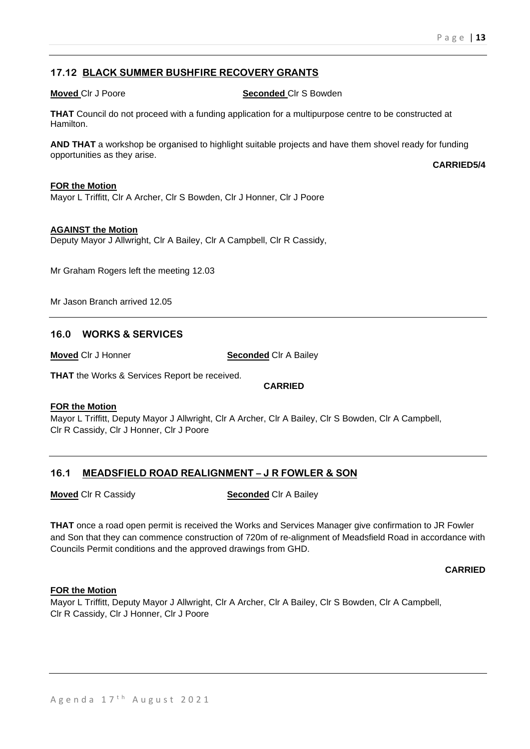**CARRIED5/4**

## **17.12 BLACK SUMMER BUSHFIRE RECOVERY GRANTS**

**Moved Cir J Poore Seconded Cir S Bowden** 

**THAT** Council do not proceed with a funding application for a multipurpose centre to be constructed at Hamilton.

**AND THAT** a workshop be organised to highlight suitable projects and have them shovel ready for funding opportunities as they arise.

**FOR the Motion**

Mayor L Triffitt, Clr A Archer, Clr S Bowden, Clr J Honner, Clr J Poore

#### **AGAINST the Motion**

Deputy Mayor J Allwright, Clr A Bailey, Clr A Campbell, Clr R Cassidy,

Mr Graham Rogers left the meeting 12.03

Mr Jason Branch arrived 12.05

### **16.0 WORKS & SERVICES**

**Moved** Clr J Honner **Seconded** Clr A Bailey

**THAT** the Works & Services Report be received.

**CARRIED**

#### **FOR the Motion**

Mayor L Triffitt, Deputy Mayor J Allwright, Clr A Archer, Clr A Bailey, Clr S Bowden, Clr A Campbell, Clr R Cassidy, Clr J Honner, Clr J Poore

### **16.1 MEADSFIELD ROAD REALIGNMENT – J R FOWLER & SON**

**Moved** Clr R Cassidy **Seconded** Clr A Bailey

**THAT** once a road open permit is received the Works and Services Manager give confirmation to JR Fowler and Son that they can commence construction of 720m of re-alignment of Meadsfield Road in accordance with Councils Permit conditions and the approved drawings from GHD.

**CARRIED**

#### **FOR the Motion**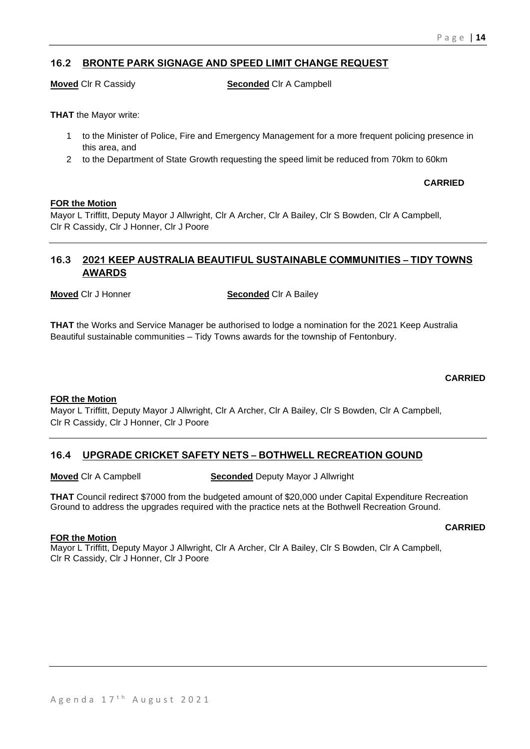## **16.2 BRONTE PARK SIGNAGE AND SPEED LIMIT CHANGE REQUEST**

**Moved** Clr R Cassidy **Seconded** Clr A Campbell

**THAT** the Mayor write:

- 1 to the Minister of Police, Fire and Emergency Management for a more frequent policing presence in this area, and
- 2 to the Department of State Growth requesting the speed limit be reduced from 70km to 60km

**CARRIED**

#### **FOR the Motion**

Mayor L Triffitt, Deputy Mayor J Allwright, Clr A Archer, Clr A Bailey, Clr S Bowden, Clr A Campbell, Clr R Cassidy, Clr J Honner, Clr J Poore

## **16.3 2021 KEEP AUSTRALIA BEAUTIFUL SUSTAINABLE COMMUNITIES – TIDY TOWNS AWARDS**

**Moved** Clr J Honner **Seconded** Clr A Bailey

**THAT** the Works and Service Manager be authorised to lodge a nomination for the 2021 Keep Australia Beautiful sustainable communities – Tidy Towns awards for the township of Fentonbury.

#### **CARRIED**

#### **FOR the Motion**

Mayor L Triffitt, Deputy Mayor J Allwright, Clr A Archer, Clr A Bailey, Clr S Bowden, Clr A Campbell, Clr R Cassidy, Clr J Honner, Clr J Poore

## **16.4 UPGRADE CRICKET SAFETY NETS – BOTHWELL RECREATION GOUND**

**Moved** Clr A Campbell **Seconded** Deputy Mayor J Allwright

**THAT** Council redirect \$7000 from the budgeted amount of \$20,000 under Capital Expenditure Recreation Ground to address the upgrades required with the practice nets at the Bothwell Recreation Ground.

#### **CARRIED**

**FOR the Motion**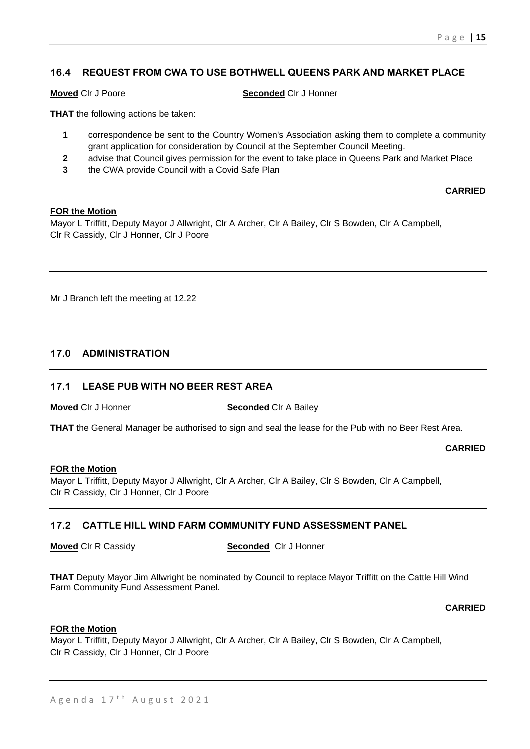## **16.4 REQUEST FROM CWA TO USE BOTHWELL QUEENS PARK AND MARKET PLACE**

### **Moved** Clr J Poore **Seconded** Clr J Honner

**THAT** the following actions be taken:

- **1** correspondence be sent to the Country Women's Association asking them to complete a community grant application for consideration by Council at the September Council Meeting.
- **2** advise that Council gives permission for the event to take place in Queens Park and Market Place
- **3** the CWA provide Council with a Covid Safe Plan

### **CARRIED**

#### **FOR the Motion**

Mayor L Triffitt, Deputy Mayor J Allwright, Clr A Archer, Clr A Bailey, Clr S Bowden, Clr A Campbell, Clr R Cassidy, Clr J Honner, Clr J Poore

Mr J Branch left the meeting at 12.22

## **17.0 ADMINISTRATION**

## **17.1 LEASE PUB WITH NO BEER REST AREA**

**Moved** Clr J Honner **Seconded** Clr A Bailey

**THAT** the General Manager be authorised to sign and seal the lease for the Pub with no Beer Rest Area.

### **CARRIED**

#### **FOR the Motion**

Mayor L Triffitt, Deputy Mayor J Allwright, Clr A Archer, Clr A Bailey, Clr S Bowden, Clr A Campbell, Clr R Cassidy, Clr J Honner, Clr J Poore

## **17.2 CATTLE HILL WIND FARM COMMUNITY FUND ASSESSMENT PANEL**

**Moved** Clr R Cassidy **Seconded** Clr J Honner

**THAT** Deputy Mayor Jim Allwright be nominated by Council to replace Mayor Triffitt on the Cattle Hill Wind Farm Community Fund Assessment Panel.

### **CARRIED**

### **FOR the Motion**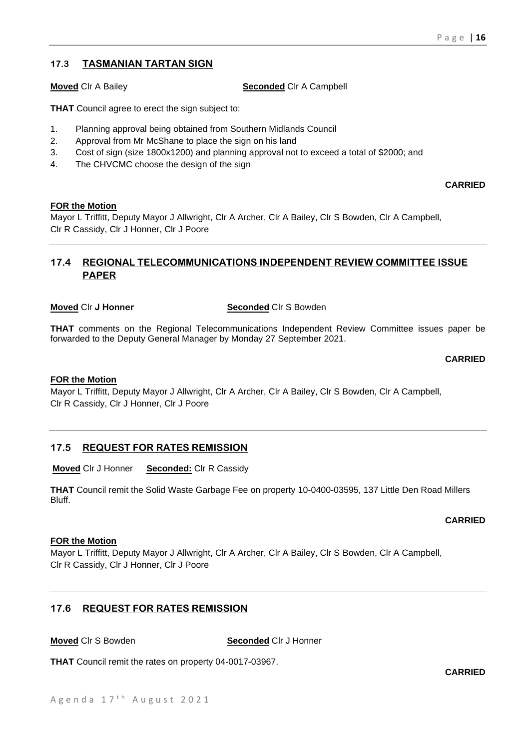## **17.3 TASMANIAN TARTAN SIGN**

**Moved** Clr A Bailey **Seconded** Clr A Campbell

**THAT** Council agree to erect the sign subject to:

- 1. Planning approval being obtained from Southern Midlands Council
- 2. Approval from Mr McShane to place the sign on his land
- 3. Cost of sign (size 1800x1200) and planning approval not to exceed a total of \$2000; and
- 4. The CHVCMC choose the design of the sign

**CARRIED**

## **FOR the Motion**

Mayor L Triffitt, Deputy Mayor J Allwright, Clr A Archer, Clr A Bailey, Clr S Bowden, Clr A Campbell, Clr R Cassidy, Clr J Honner, Clr J Poore

## **17.4 REGIONAL TELECOMMUNICATIONS INDEPENDENT REVIEW COMMITTEE ISSUE PAPER**

### **Moved** Clr J Honner **Seconded** Clr S Bowden

**THAT** comments on the Regional Telecommunications Independent Review Committee issues paper be forwarded to the Deputy General Manager by Monday 27 September 2021.

**CARRIED**

### **FOR the Motion**

Mayor L Triffitt, Deputy Mayor J Allwright, Clr A Archer, Clr A Bailey, Clr S Bowden, Clr A Campbell, Clr R Cassidy, Clr J Honner, Clr J Poore

## **17.5 REQUEST FOR RATES REMISSION**

**Moved** Clr J Honner **Seconded:** Clr R Cassidy

**THAT** Council remit the Solid Waste Garbage Fee on property 10-0400-03595, 137 Little Den Road Millers Bluff.

### **CARRIED**

### **FOR the Motion**

Mayor L Triffitt, Deputy Mayor J Allwright, Clr A Archer, Clr A Bailey, Clr S Bowden, Clr A Campbell, Clr R Cassidy, Clr J Honner, Clr J Poore

## **17.6 REQUEST FOR RATES REMISSION**

**Moved** Clr S Bowden **Seconded** Clr J Honner

**THAT** Council remit the rates on property 04-0017-03967.

**CARRIED**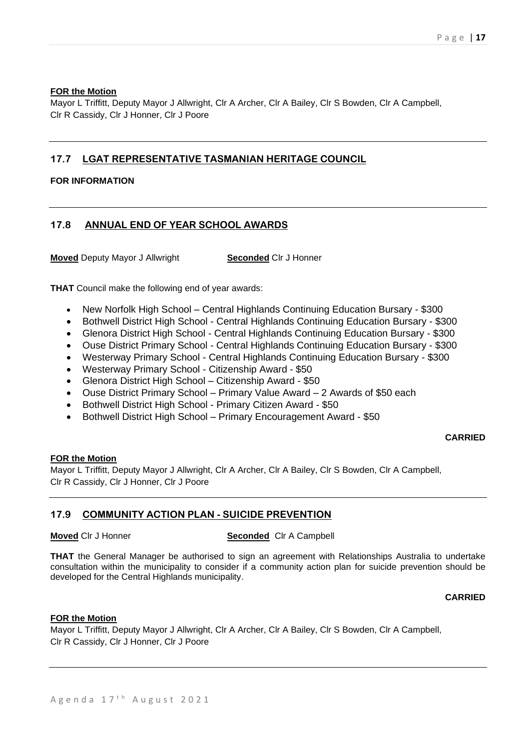#### **FOR the Motion**

Mayor L Triffitt, Deputy Mayor J Allwright, Clr A Archer, Clr A Bailey, Clr S Bowden, Clr A Campbell, Clr R Cassidy, Clr J Honner, Clr J Poore

## **17.7 LGAT REPRESENTATIVE TASMANIAN HERITAGE COUNCIL**

## **FOR INFORMATION**

## **17.8 ANNUAL END OF YEAR SCHOOL AWARDS**

**Moved** Deputy Mayor J Allwright **Seconded** Clr J Honner

**THAT** Council make the following end of year awards:

- New Norfolk High School Central Highlands Continuing Education Bursary \$300
- Bothwell District High School Central Highlands Continuing Education Bursary \$300
- Glenora District High School Central Highlands Continuing Education Bursary \$300
- Ouse District Primary School Central Highlands Continuing Education Bursary \$300
- Westerway Primary School Central Highlands Continuing Education Bursary \$300
- Westerway Primary School Citizenship Award \$50
- Glenora District High School Citizenship Award \$50
- Ouse District Primary School Primary Value Award 2 Awards of \$50 each
- Bothwell District High School Primary Citizen Award \$50
- Bothwell District High School Primary Encouragement Award \$50

### **CARRIED**

### **FOR the Motion**

Mayor L Triffitt, Deputy Mayor J Allwright, Clr A Archer, Clr A Bailey, Clr S Bowden, Clr A Campbell, Clr R Cassidy, Clr J Honner, Clr J Poore

## **17.9 COMMUNITY ACTION PLAN - SUICIDE PREVENTION**

### **Moved** Clr J Honner **Seconded** Clr A Campbell

**THAT** the General Manager be authorised to sign an agreement with Relationships Australia to undertake consultation within the municipality to consider if a community action plan for suicide prevention should be developed for the Central Highlands municipality.

### **CARRIED**

### **FOR the Motion**